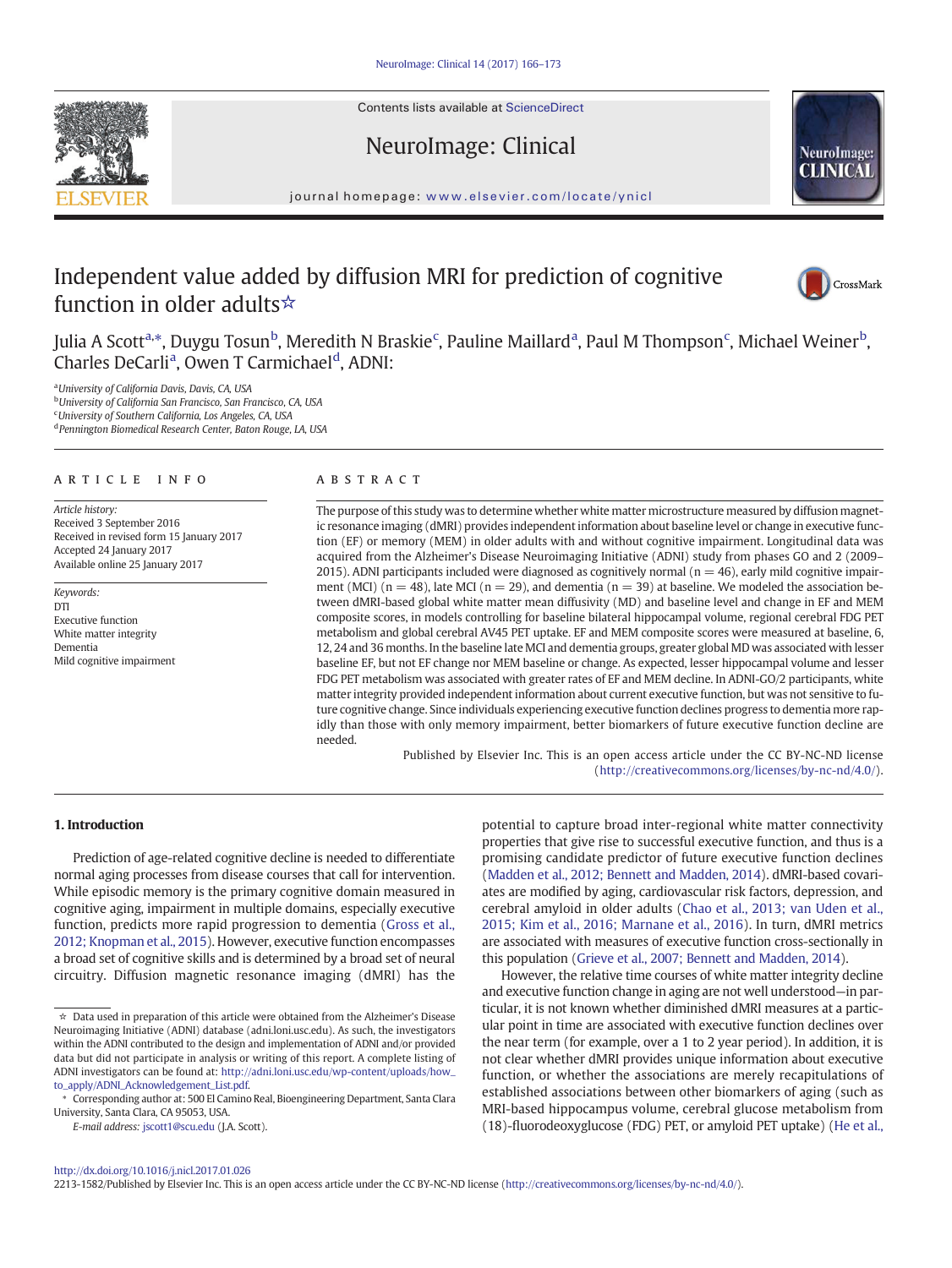Contents lists available at ScienceDirect

NeuroImage: Clinical





# journal homepage: <www.elsevier.com/locate/ynicl>

# Independent value added by diffusion MRI for prediction of cognitive function in older adults☆



Julia A Scott<sup>a,</sup>\*, Duygu Tosun<sup>b</sup>, Meredith N Braskie<sup>c</sup>, Pauline Maillard<sup>a</sup>, Paul M Thompson<sup>c</sup>, Michael Weiner<sup>b</sup>, Charles DeCarli<sup>a</sup>, Owen T Carmichael<sup>d</sup>, ADNI:

<sup>a</sup> University of California Davis, Davis, CA, USA

b University of California San Francisco, San Francisco, CA, USA

<sup>c</sup> University of Southern California, Los Angeles, CA, USA

<sup>d</sup> Pennington Biomedical Research Center, Baton Rouge, LA, USA

#### article info abstract

Article history: Received 3 September 2016 Received in revised form 15 January 2017 Accepted 24 January 2017 Available online 25 January 2017

Keywords: DTI Executive function White matter integrity Dementia Mild cognitive impairment

The purpose of this study was to determine whether white matter microstructure measured by diffusion magnetic resonance imaging (dMRI) provides independent information about baseline level or change in executive function (EF) or memory (MEM) in older adults with and without cognitive impairment. Longitudinal data was acquired from the Alzheimer's Disease Neuroimaging Initiative (ADNI) study from phases GO and 2 (2009– 2015). ADNI participants included were diagnosed as cognitively normal ( $n = 46$ ), early mild cognitive impairment (MCI) ( $n = 48$ ), late MCI ( $n = 29$ ), and dementia ( $n = 39$ ) at baseline. We modeled the association between dMRI-based global white matter mean diffusivity (MD) and baseline level and change in EF and MEM composite scores, in models controlling for baseline bilateral hippocampal volume, regional cerebral FDG PET metabolism and global cerebral AV45 PET uptake. EF and MEM composite scores were measured at baseline, 6, 12, 24 and 36 months. In the baseline late MCI and dementia groups, greater global MD was associated with lesser baseline EF, but not EF change nor MEM baseline or change. As expected, lesser hippocampal volume and lesser FDG PET metabolism was associated with greater rates of EF and MEM decline. In ADNI-GO/2 participants, white matter integrity provided independent information about current executive function, but was not sensitive to future cognitive change. Since individuals experiencing executive function declines progress to dementia more rapidly than those with only memory impairment, better biomarkers of future executive function decline are needed.

> Published by Elsevier Inc. This is an open access article under the CC BY-NC-ND license [\(http://creativecommons.org/licenses/by-nc-nd/4.0/\)](http://creativecommons.org/licenses/by-nc-nd/4.0/).

## 1. Introduction

Prediction of age-related cognitive decline is needed to differentiate normal aging processes from disease courses that call for intervention. While episodic memory is the primary cognitive domain measured in cognitive aging, impairment in multiple domains, especially executive function, predicts more rapid progression to dementia ([Gross et al.,](#page-6-0) [2012; Knopman et al., 2015](#page-6-0)). However, executive function encompasses a broad set of cognitive skills and is determined by a broad set of neural circuitry. Diffusion magnetic resonance imaging (dMRI) has the

potential to capture broad inter-regional white matter connectivity properties that give rise to successful executive function, and thus is a promising candidate predictor of future executive function declines [\(Madden et al., 2012; Bennett and Madden, 2014](#page-7-0)). dMRI-based covariates are modified by aging, cardiovascular risk factors, depression, and cerebral amyloid in older adults [\(Chao et al., 2013; van Uden et al.,](#page-6-0) [2015; Kim et al., 2016; Marnane et al., 2016](#page-6-0)). In turn, dMRI metrics are associated with measures of executive function cross-sectionally in this population [\(Grieve et al., 2007; Bennett and Madden, 2014\)](#page-6-0).

However, the relative time courses of white matter integrity decline and executive function change in aging are not well understood—in particular, it is not known whether diminished dMRI measures at a particular point in time are associated with executive function declines over the near term (for example, over a 1 to 2 year period). In addition, it is not clear whether dMRI provides unique information about executive function, or whether the associations are merely recapitulations of established associations between other biomarkers of aging (such as MRI-based hippocampus volume, cerebral glucose metabolism from (18)-fluorodeoxyglucose (FDG) PET, or amyloid PET uptake) [\(He et al.,](#page-6-0)

#### <http://dx.doi.org/10.1016/j.nicl.2017.01.026>

2213-1582/Published by Elsevier Inc. This is an open access article under the CC BY-NC-ND license [\(http://creativecommons.org/licenses/by-nc-nd/4.0/](http://creativecommons.org/licenses/by-nc-nd/4.0/)).

<sup>☆</sup> Data used in preparation of this article were obtained from the Alzheimer's Disease Neuroimaging Initiative (ADNI) database (adni.loni.usc.edu). As such, the investigators within the ADNI contributed to the design and implementation of ADNI and/or provided data but did not participate in analysis or writing of this report. A complete listing of ADNI investigators can be found at: [http://adni.loni.usc.edu/wp-content/uploads/how\\_](http://adni.loni.usc.edu/wp-content/uploads/how_to_apply/ADNI_Acknowledgement_List.pdf) [to\\_apply/ADNI\\_Acknowledgement\\_List.pdf](http://adni.loni.usc.edu/wp-content/uploads/how_to_apply/ADNI_Acknowledgement_List.pdf).

<sup>⁎</sup> Corresponding author at: 500 El Camino Real, Bioengineering Department, Santa Clara University, Santa Clara, CA 95053, USA.

E-mail address: [jscott1@scu.edu](mailto:jscott1@scu.edu) (J.A. Scott).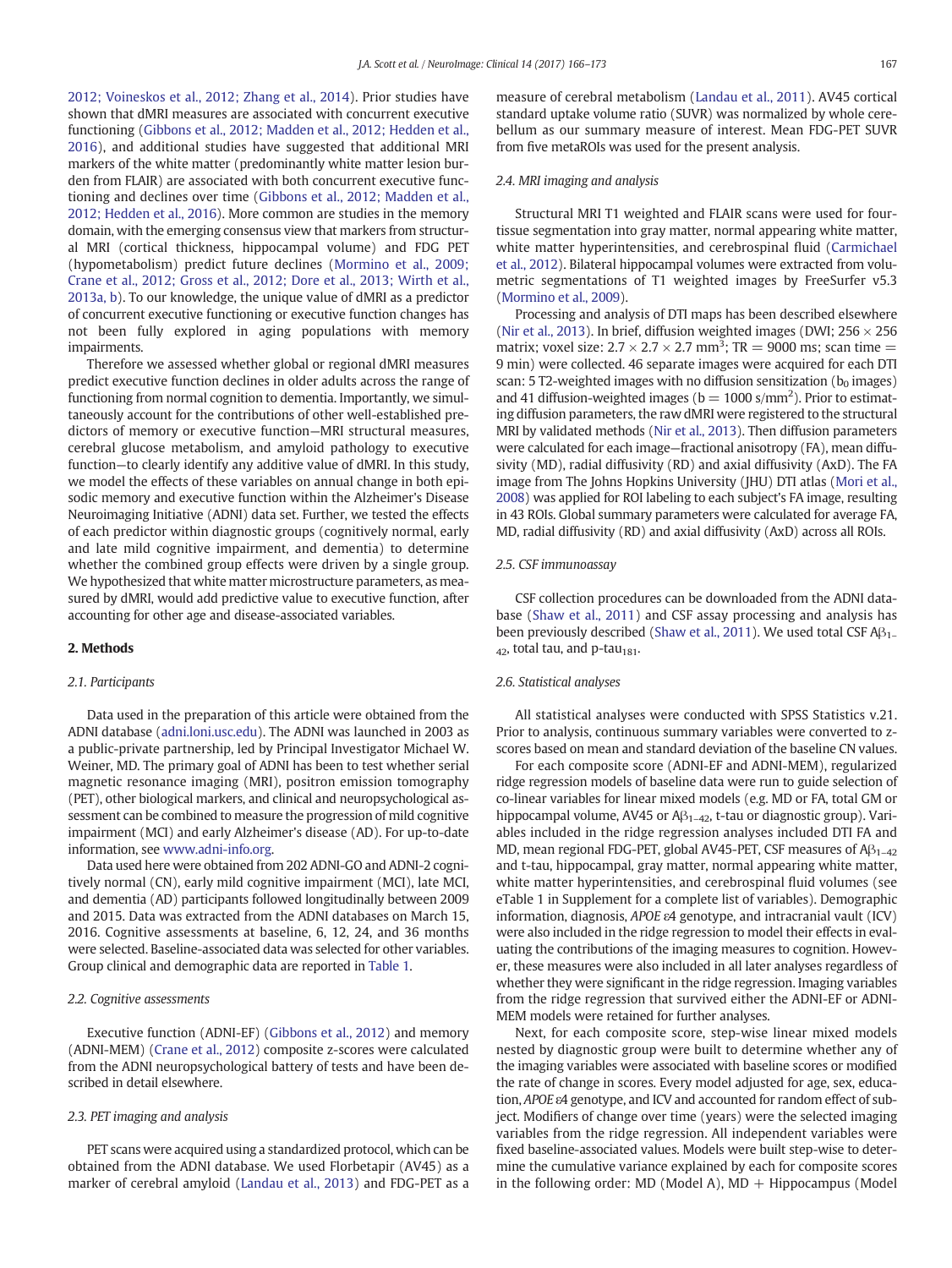[2012; Voineskos et al., 2012; Zhang et al., 2014\)](#page-6-0). Prior studies have shown that dMRI measures are associated with concurrent executive functioning [\(Gibbons et al., 2012; Madden et al., 2012; Hedden et al.,](#page-6-0) [2016\)](#page-6-0), and additional studies have suggested that additional MRI markers of the white matter (predominantly white matter lesion burden from FLAIR) are associated with both concurrent executive functioning and declines over time [\(Gibbons et al., 2012; Madden et al.,](#page-6-0) [2012; Hedden et al., 2016](#page-6-0)). More common are studies in the memory domain, with the emerging consensus view that markers from structural MRI (cortical thickness, hippocampal volume) and FDG PET (hypometabolism) predict future declines [\(Mormino et al., 2009;](#page-7-0) [Crane et al., 2012; Gross et al., 2012; Dore et al., 2013; Wirth et al.,](#page-7-0) [2013a, b](#page-7-0)). To our knowledge, the unique value of dMRI as a predictor of concurrent executive functioning or executive function changes has not been fully explored in aging populations with memory impairments.

Therefore we assessed whether global or regional dMRI measures predict executive function declines in older adults across the range of functioning from normal cognition to dementia. Importantly, we simultaneously account for the contributions of other well-established predictors of memory or executive function—MRI structural measures, cerebral glucose metabolism, and amyloid pathology to executive function—to clearly identify any additive value of dMRI. In this study, we model the effects of these variables on annual change in both episodic memory and executive function within the Alzheimer's Disease Neuroimaging Initiative (ADNI) data set. Further, we tested the effects of each predictor within diagnostic groups (cognitively normal, early and late mild cognitive impairment, and dementia) to determine whether the combined group effects were driven by a single group. We hypothesized that white matter microstructure parameters, as measured by dMRI, would add predictive value to executive function, after accounting for other age and disease-associated variables.

#### 2. Methods

#### 2.1. Participants

Data used in the preparation of this article were obtained from the ADNI database [\(adni.loni.usc.edu](http://adni.loni.usc.edu)). The ADNI was launched in 2003 as a public-private partnership, led by Principal Investigator Michael W. Weiner, MD. The primary goal of ADNI has been to test whether serial magnetic resonance imaging (MRI), positron emission tomography (PET), other biological markers, and clinical and neuropsychological assessment can be combined to measure the progression of mild cognitive impairment (MCI) and early Alzheimer's disease (AD). For up-to-date information, see [www.adni-info.org.](http://www.adni-info.org)

Data used here were obtained from 202 ADNI-GO and ADNI-2 cognitively normal (CN), early mild cognitive impairment (MCI), late MCI, and dementia (AD) participants followed longitudinally between 2009 and 2015. Data was extracted from the ADNI databases on March 15, 2016. Cognitive assessments at baseline, 6, 12, 24, and 36 months were selected. Baseline-associated data was selected for other variables. Group clinical and demographic data are reported in [Table 1](#page-2-0).

#### 2.2. Cognitive assessments

Executive function (ADNI-EF) ([Gibbons et al., 2012](#page-6-0)) and memory (ADNI-MEM) ([Crane et al., 2012](#page-6-0)) composite z-scores were calculated from the ADNI neuropsychological battery of tests and have been described in detail elsewhere.

#### 2.3. PET imaging and analysis

PET scans were acquired using a standardized protocol, which can be obtained from the ADNI database. We used Florbetapir (AV45) as a marker of cerebral amyloid ([Landau et al., 2013](#page-7-0)) and FDG-PET as a measure of cerebral metabolism [\(Landau et al., 2011\)](#page-7-0). AV45 cortical standard uptake volume ratio (SUVR) was normalized by whole cerebellum as our summary measure of interest. Mean FDG-PET SUVR from five metaROIs was used for the present analysis.

#### 2.4. MRI imaging and analysis

Structural MRI T1 weighted and FLAIR scans were used for fourtissue segmentation into gray matter, normal appearing white matter, white matter hyperintensities, and cerebrospinal fluid [\(Carmichael](#page-6-0) [et al., 2012](#page-6-0)). Bilateral hippocampal volumes were extracted from volumetric segmentations of T1 weighted images by FreeSurfer v5.3 [\(Mormino et al., 2009\)](#page-7-0).

Processing and analysis of DTI maps has been described elsewhere [\(Nir et al., 2013](#page-7-0)). In brief, diffusion weighted images (DWI;  $256 \times 256$ ) matrix; voxel size:  $2.7 \times 2.7 \times 2.7$  mm<sup>3</sup>; TR = 9000 ms; scan time = 9 min) were collected. 46 separate images were acquired for each DTI scan: 5 T2-weighted images with no diffusion sensitization ( $b<sub>0</sub>$  images) and 41 diffusion-weighted images ( $b = 1000$  s/mm<sup>2</sup>). Prior to estimating diffusion parameters, the raw dMRI were registered to the structural MRI by validated methods [\(Nir et al., 2013\)](#page-7-0). Then diffusion parameters were calculated for each image—fractional anisotropy (FA), mean diffusivity (MD), radial diffusivity (RD) and axial diffusivity (AxD). The FA image from The Johns Hopkins University (JHU) DTI atlas ([Mori et al.,](#page-7-0) [2008](#page-7-0)) was applied for ROI labeling to each subject's FA image, resulting in 43 ROIs. Global summary parameters were calculated for average FA, MD, radial diffusivity (RD) and axial diffusivity (AxD) across all ROIs.

#### 2.5. CSF immunoassay

CSF collection procedures can be downloaded from the ADNI database [\(Shaw et al., 2011\)](#page-7-0) and CSF assay processing and analysis has been previously described ([Shaw et al., 2011](#page-7-0)). We used total CSF  $AB_{1-}$  $_{42}$ , total tau, and p-tau<sub>181</sub>.

#### 2.6. Statistical analyses

All statistical analyses were conducted with SPSS Statistics v.21. Prior to analysis, continuous summary variables were converted to zscores based on mean and standard deviation of the baseline CN values.

For each composite score (ADNI-EF and ADNI-MEM), regularized ridge regression models of baseline data were run to guide selection of co-linear variables for linear mixed models (e.g. MD or FA, total GM or hippocampal volume, AV45 or Aβ1–42, t-tau or diagnostic group). Variables included in the ridge regression analyses included DTI FA and MD, mean regional FDG-PET, global AV45-PET, CSF measures of Aβ<sub>1-42</sub> and t-tau, hippocampal, gray matter, normal appearing white matter, white matter hyperintensities, and cerebrospinal fluid volumes (see eTable 1 in Supplement for a complete list of variables). Demographic information, diagnosis, APOE ɛ4 genotype, and intracranial vault (ICV) were also included in the ridge regression to model their effects in evaluating the contributions of the imaging measures to cognition. However, these measures were also included in all later analyses regardless of whether they were significant in the ridge regression. Imaging variables from the ridge regression that survived either the ADNI-EF or ADNI-MEM models were retained for further analyses.

Next, for each composite score, step-wise linear mixed models nested by diagnostic group were built to determine whether any of the imaging variables were associated with baseline scores or modified the rate of change in scores. Every model adjusted for age, sex, education, APOE ɛ4 genotype, and ICV and accounted for random effect of subject. Modifiers of change over time (years) were the selected imaging variables from the ridge regression. All independent variables were fixed baseline-associated values. Models were built step-wise to determine the cumulative variance explained by each for composite scores in the following order: MD (Model A),  $MD + Hippocampus$  (Model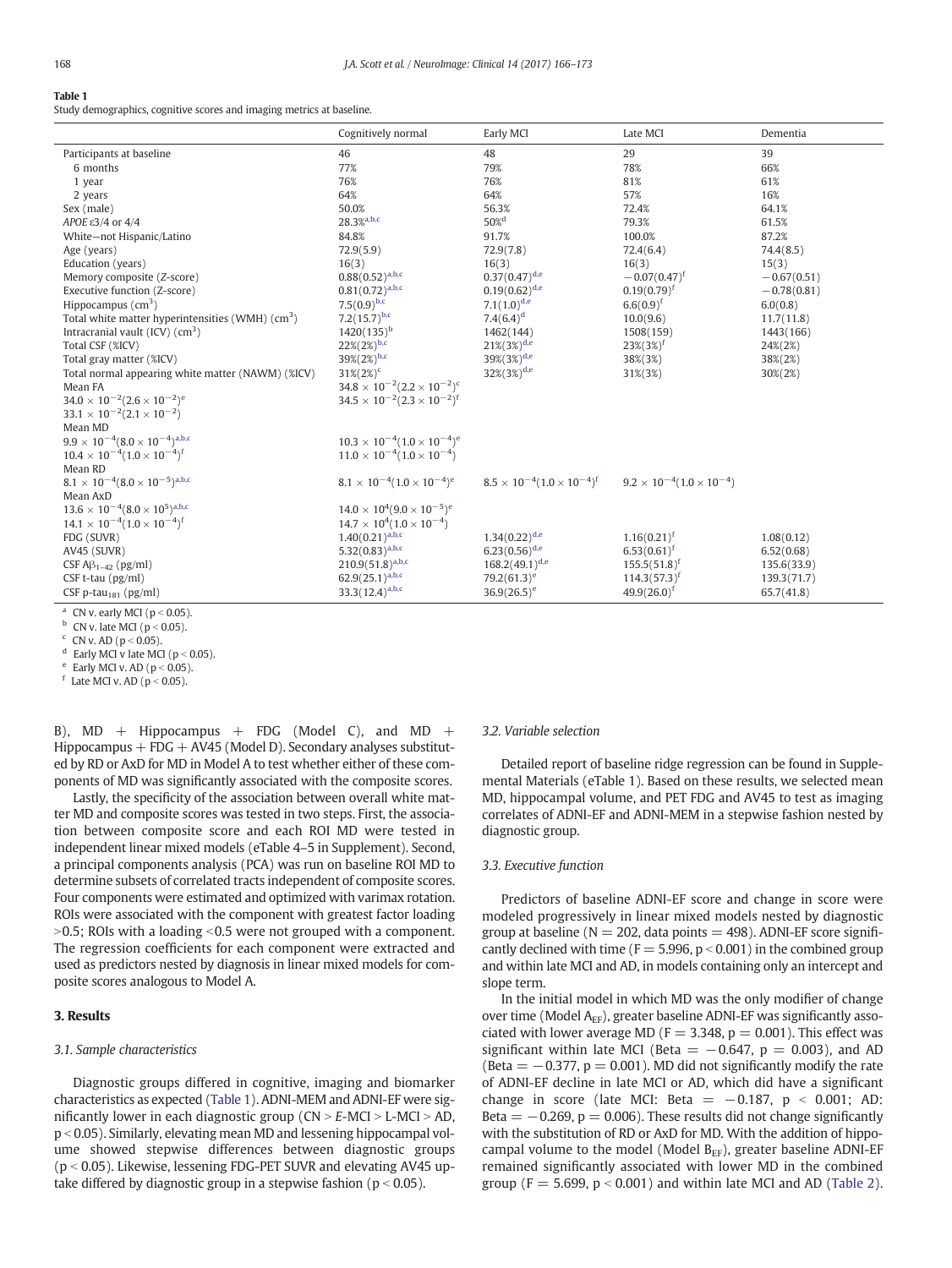#### <span id="page-2-0"></span>Table 1

Study demographics, cognitive scores and imaging metrics at baseline.

|                                                              | Cognitively normal                                 | Early MCI                                   | Late MCI                                  | Dementia      |
|--------------------------------------------------------------|----------------------------------------------------|---------------------------------------------|-------------------------------------------|---------------|
| Participants at baseline                                     | 46                                                 | 48                                          | 29                                        | 39            |
| 6 months                                                     | 77%                                                | 79%                                         | 78%                                       | 66%           |
| 1 year                                                       | 76%                                                | 76%                                         | 81%                                       | 61%           |
| 2 years                                                      | 64%                                                | 64%                                         | 57%                                       | 16%           |
| Sex (male)                                                   | 50.0%                                              | 56.3%                                       | 72.4%                                     | 64.1%         |
| APOE ε3/4 or 4/4                                             | $28.3%^{a,b,c}$                                    | 50% <sup>d</sup>                            | 79.3%                                     | 61.5%         |
| White-not Hispanic/Latino                                    | 84.8%                                              | 91.7%                                       | 100.0%                                    | 87.2%         |
| Age (years)                                                  | 72.9(5.9)                                          | 72.9(7.8)                                   | 72.4(6.4)                                 | 74.4(8.5)     |
| Education (years)                                            | 16(3)                                              | 16(3)                                       | 16(3)                                     | 15(3)         |
| Memory composite (Z-score)                                   | $0.88(0.52)^{a,b,c}$                               | $0.37(0.47)^{d,e}$                          | $-0.07(0.47)^f$                           | $-0.67(0.51)$ |
| Executive function (Z-score)                                 | $0.81(0.72)^{a,b,c}$                               | $0.19(0.62)^{d,e}$                          | $0.19(0.79)^f$                            | $-0.78(0.81)$ |
| Hippocampus $\text{cm}^3$ )                                  | $7.5(0.9)^{b,c}$                                   | $7.1(1.0)^{d,e}$                            | $6.6(0.9)^f$                              | 6.0(0.8)      |
| Total white matter hyperintensities (WMH) (cm <sup>3</sup> ) | $7.2(15.7)^{b,c}$                                  | $7.4(6.4)^d$                                | 10.0(9.6)                                 | 11.7(11.8)    |
| Intracranial vault $(ICV)$ $(cm3)$                           | $1420(135)^{b}$                                    | 1462(144)                                   | 1508(159)                                 | 1443(166)     |
| Total CSF (%ICV)                                             | $22\%(2\%)^{b,c}$                                  | $21\% (3\%)^{d,e}$                          | $23\% (3\%)^f$                            | 24%(2%)       |
| Total gray matter (%ICV)                                     | $39\%(2\%)^{b,c}$                                  | $39\%(3\%)^{d,e}$                           | 38%(3%)                                   | 38%(2%)       |
| Total normal appearing white matter (NAWM) (%ICV)            | $31\%(2\%)^c$                                      | $32\%(3\%)^{d,e}$                           | 31%(3%)                                   | $30\% (2\%)$  |
| Mean FA                                                      | $34.8 \times 10^{-2} (2.2 \times 10^{-2})^c$       |                                             |                                           |               |
| $34.0 \times 10^{-2} (2.6 \times 10^{-2})^e$                 | $34.5 \times 10^{-2} (2.3 \times 10^{-2})^{\rm f}$ |                                             |                                           |               |
| $33.1 \times 10^{-2} (2.1 \times 10^{-2})$                   |                                                    |                                             |                                           |               |
| Mean MD                                                      |                                                    |                                             |                                           |               |
| $9.9 \times 10^{-4}$ $(8.0 \times 10^{-4})$ <sup>a,b,c</sup> | $10.3 \times 10^{-4} (1.0 \times 10^{-4})^e$       |                                             |                                           |               |
| $10.4 \times 10^{-4} (1.0 \times 10^{-4})^{\rm f}$           | $11.0 \times 10^{-4} (1.0 \times 10^{-4})$         |                                             |                                           |               |
| Mean RD                                                      |                                                    |                                             |                                           |               |
| $8.1 \times 10^{-4} (8.0 \times 10^{-5})^{a,b,c}$            | $8.1 \times 10^{-4} (1.0 \times 10^{-4})^e$        | $8.5 \times 10^{-4} (1.0 \times 10^{-4})^f$ | $9.2 \times 10^{-4} (1.0 \times 10^{-4})$ |               |
| Mean AxD                                                     |                                                    |                                             |                                           |               |
| $13.6 \times 10^{-4} (8.0 \times 10^5)^{a,b,c}$              | $14.0 \times 10^4 (9.0 \times 10^{-5})^e$          |                                             |                                           |               |
| $14.1 \times 10^{-4} (1.0 \times 10^{-4})^{\rm f}$           | $14.7 \times 10^4 (1.0 \times 10^{-4})$            |                                             |                                           |               |
| FDG (SUVR)                                                   | $1.40(0.21)^{a,b,c}$                               | $1.34(0.22)^{d,e}$                          | $1.16(0.21)^t$                            | 1.08(0.12)    |
| AV45 (SUVR)                                                  | $5.32(0.83)^{a,b,c}$                               | $6.23(0.56)^{d,e}$                          | $6.53(0.61)^t$                            | 6.52(0.68)    |
| CSF $\mathsf{AB}_{1-42}$ (pg/ml)                             | $210.9(51.8)^{a,b,c}$                              | $168.2(49.1)^{d,e}$                         | $155.5(51.8)^f$                           | 135.6(33.9)   |
| $CSF$ t-tau ( $pg/ml$ )                                      | $62.9(25.1)^{a,b,c}$                               | $79.2(61.3)^e$                              | $114.3(57.3)^f$                           | 139.3(71.7)   |
| CSF p-tau <sub>181</sub> (pg/ml)                             | $33.3(12.4)^{a,b,c}$                               | $36.9(26.5)^e$                              | $49.9(26.0)^f$                            | 65.7(41.8)    |

<sup>a</sup> CN v. early MCI ( $p < 0.05$ ).

 $b$  CN v. late MCI ( $p < 0.05$ ).

CN v. AD ( $p < 0.05$ ).

 $d$  Early MCI v late MCI ( $p < 0.05$ ).

 $e$  Early MCI v. AD ( $p < 0.05$ ).

f Late MCI v. AD  $(p < 0.05)$ .

B),  $MD + Hippocampus + FDG$  (Model C), and  $MD +$ Hippocampus  $+$  FDG  $+$  AV45 (Model D). Secondary analyses substituted by RD or AxD for MD in Model A to test whether either of these components of MD was significantly associated with the composite scores.

Lastly, the specificity of the association between overall white matter MD and composite scores was tested in two steps. First, the association between composite score and each ROI MD were tested in independent linear mixed models (eTable 4–5 in Supplement). Second, a principal components analysis (PCA) was run on baseline ROI MD to determine subsets of correlated tracts independent of composite scores. Four components were estimated and optimized with varimax rotation. ROIs were associated with the component with greatest factor loading  $>$ 0.5; ROIs with a loading <0.5 were not grouped with a component. The regression coefficients for each component were extracted and used as predictors nested by diagnosis in linear mixed models for composite scores analogous to Model A.

#### 3. Results

#### 3.1. Sample characteristics

Diagnostic groups differed in cognitive, imaging and biomarker characteristics as expected (Table 1). ADNI-MEM and ADNI-EF were significantly lower in each diagnostic group ( $CN > E-MCI > L-MCI > AD$ ,  $p < 0.05$ ). Similarly, elevating mean MD and lessening hippocampal volume showed stepwise differences between diagnostic groups  $(p < 0.05)$ . Likewise, lessening FDG-PET SUVR and elevating AV45 uptake differed by diagnostic group in a stepwise fashion ( $p < 0.05$ ).

#### 3.2. Variable selection

Detailed report of baseline ridge regression can be found in Supplemental Materials (eTable 1). Based on these results, we selected mean MD, hippocampal volume, and PET FDG and AV45 to test as imaging correlates of ADNI-EF and ADNI-MEM in a stepwise fashion nested by diagnostic group.

#### 3.3. Executive function

Predictors of baseline ADNI-EF score and change in score were modeled progressively in linear mixed models nested by diagnostic group at baseline ( $N = 202$ , data points = 498). ADNI-EF score significantly declined with time ( $F = 5.996$ ,  $p < 0.001$ ) in the combined group and within late MCI and AD, in models containing only an intercept and slope term.

In the initial model in which MD was the only modifier of change over time (Model  $A_{EF}$ ), greater baseline ADNI-EF was significantly associated with lower average MD ( $F = 3.348$ ,  $p = 0.001$ ). This effect was significant within late MCI (Beta =  $-0.647$ , p = 0.003), and AD (Beta =  $-0.377$ , p = 0.001). MD did not significantly modify the rate of ADNI-EF decline in late MCI or AD, which did have a significant change in score (late MCI: Beta =  $-0.187$ , p < 0.001; AD: Beta =  $-0.269$ ,  $p = 0.006$ ). These results did not change significantly with the substitution of RD or AxD for MD. With the addition of hippocampal volume to the model (Model  $B_{EF}$ ), greater baseline ADNI-EF remained significantly associated with lower MD in the combined group ( $F = 5.699$ ,  $p < 0.001$ ) and within late MCI and AD ([Table 2](#page-3-0)).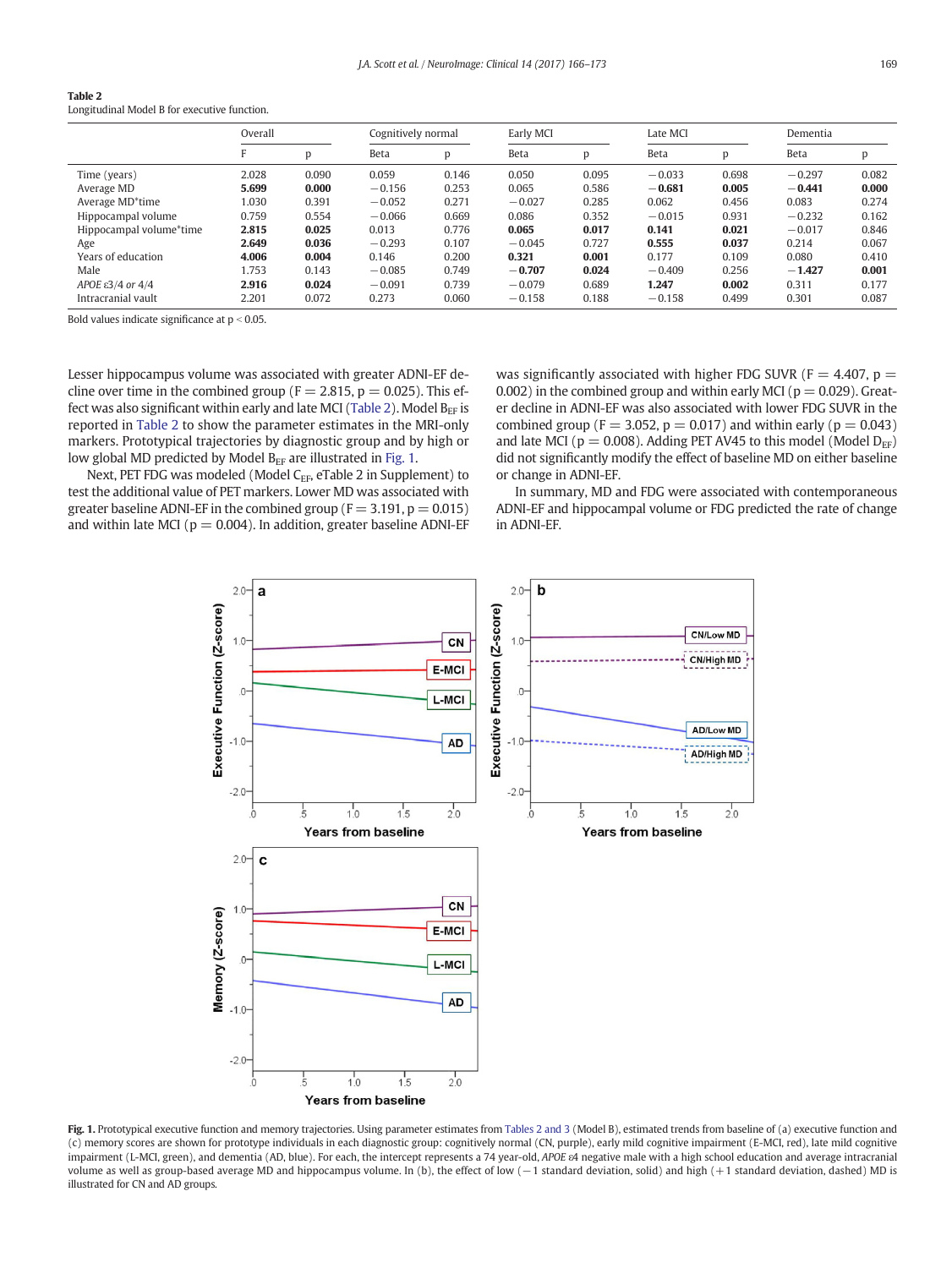<span id="page-3-0"></span>

| Table 2    |  |
|------------|--|
| $I = 1.10$ |  |

Longitudinal Model B for executive function.

|                               | Overall |       | Cognitively normal |       | Early MCI |       | Late MCI |       | Dementia |       |
|-------------------------------|---------|-------|--------------------|-------|-----------|-------|----------|-------|----------|-------|
|                               |         | D     | Beta               | p     | Beta      | D     | Beta     |       | Beta     | p     |
| Time (years)                  | 2.028   | 0.090 | 0.059              | 0.146 | 0.050     | 0.095 | $-0.033$ | 0.698 | $-0.297$ | 0.082 |
| Average MD                    | 5.699   | 0.000 | $-0.156$           | 0.253 | 0.065     | 0.586 | $-0.681$ | 0.005 | $-0.441$ | 0.000 |
| Average MD*time               | 1.030   | 0.391 | $-0.052$           | 0.271 | $-0.027$  | 0.285 | 0.062    | 0.456 | 0.083    | 0.274 |
| Hippocampal volume            | 0.759   | 0.554 | $-0.066$           | 0.669 | 0.086     | 0.352 | $-0.015$ | 0.931 | $-0.232$ | 0.162 |
| Hippocampal volume*time       | 2.815   | 0.025 | 0.013              | 0.776 | 0.065     | 0.017 | 0.141    | 0.021 | $-0.017$ | 0.846 |
| Age                           | 2.649   | 0.036 | $-0.293$           | 0.107 | $-0.045$  | 0.727 | 0.555    | 0.037 | 0.214    | 0.067 |
| Years of education            | 4.006   | 0.004 | 0.146              | 0.200 | 0.321     | 0.001 | 0.177    | 0.109 | 0.080    | 0.410 |
| Male                          | 1.753   | 0.143 | $-0.085$           | 0.749 | $-0.707$  | 0.024 | $-0.409$ | 0.256 | $-1.427$ | 0.001 |
| APOE $\varepsilon$ 3/4 or 4/4 | 2.916   | 0.024 | $-0.091$           | 0.739 | $-0.079$  | 0.689 | 1.247    | 0.002 | 0.311    | 0.177 |
| Intracranial vault            | 2.201   | 0.072 | 0.273              | 0.060 | $-0.158$  | 0.188 | $-0.158$ | 0.499 | 0.301    | 0.087 |

Bold values indicate significance at  $p < 0.05$ .

Lesser hippocampus volume was associated with greater ADNI-EF decline over time in the combined group ( $F = 2.815$ ,  $p = 0.025$ ). This effect was also significant within early and late MCI (Table 2). Model  $B_{EF}$  is reported in Table 2 to show the parameter estimates in the MRI-only markers. Prototypical trajectories by diagnostic group and by high or low global MD predicted by Model B<sub>EF</sub> are illustrated in Fig. 1.

Next, PET FDG was modeled (Model C<sub>EF</sub>, eTable 2 in Supplement) to test the additional value of PET markers. Lower MD was associated with greater baseline ADNI-EF in the combined group ( $F = 3.191$ ,  $p = 0.015$ ) and within late MCI ( $p = 0.004$ ). In addition, greater baseline ADNI-EF was significantly associated with higher FDG SUVR ( $F = 4.407$ ,  $p =$ 0.002) in the combined group and within early MCI ( $p = 0.029$ ). Greater decline in ADNI-EF was also associated with lower FDG SUVR in the combined group ( $F = 3.052$ ,  $p = 0.017$ ) and within early ( $p = 0.043$ ) and late MCI ( $p = 0.008$ ). Adding PET AV45 to this model (Model  $D_{EF}$ ) did not significantly modify the effect of baseline MD on either baseline or change in ADNI-EF.

In summary, MD and FDG were associated with contemporaneous ADNI-EF and hippocampal volume or FDG predicted the rate of change in ADNI-EF.



Fig. 1. Prototypical executive function and memory trajectories. Using parameter estimates from Tables 2 and 3 (Model B), estimated trends from baseline of (a) executive function and (c) memory scores are shown for prototype individuals in each diagnostic group: cognitively normal (CN, purple), early mild cognitive impairment (E-MCI, red), late mild cognitive impairment (L-MCI, green), and dementia (AD, blue). For each, the intercept represents a 74 year-old, APOE &4 negative male with a high school education and average intracranial volume as well as group-based average MD and hippocampus volume. In (b), the effect of low (−1 standard deviation, solid) and high (+1 standard deviation, dashed) MD is illustrated for CN and AD groups.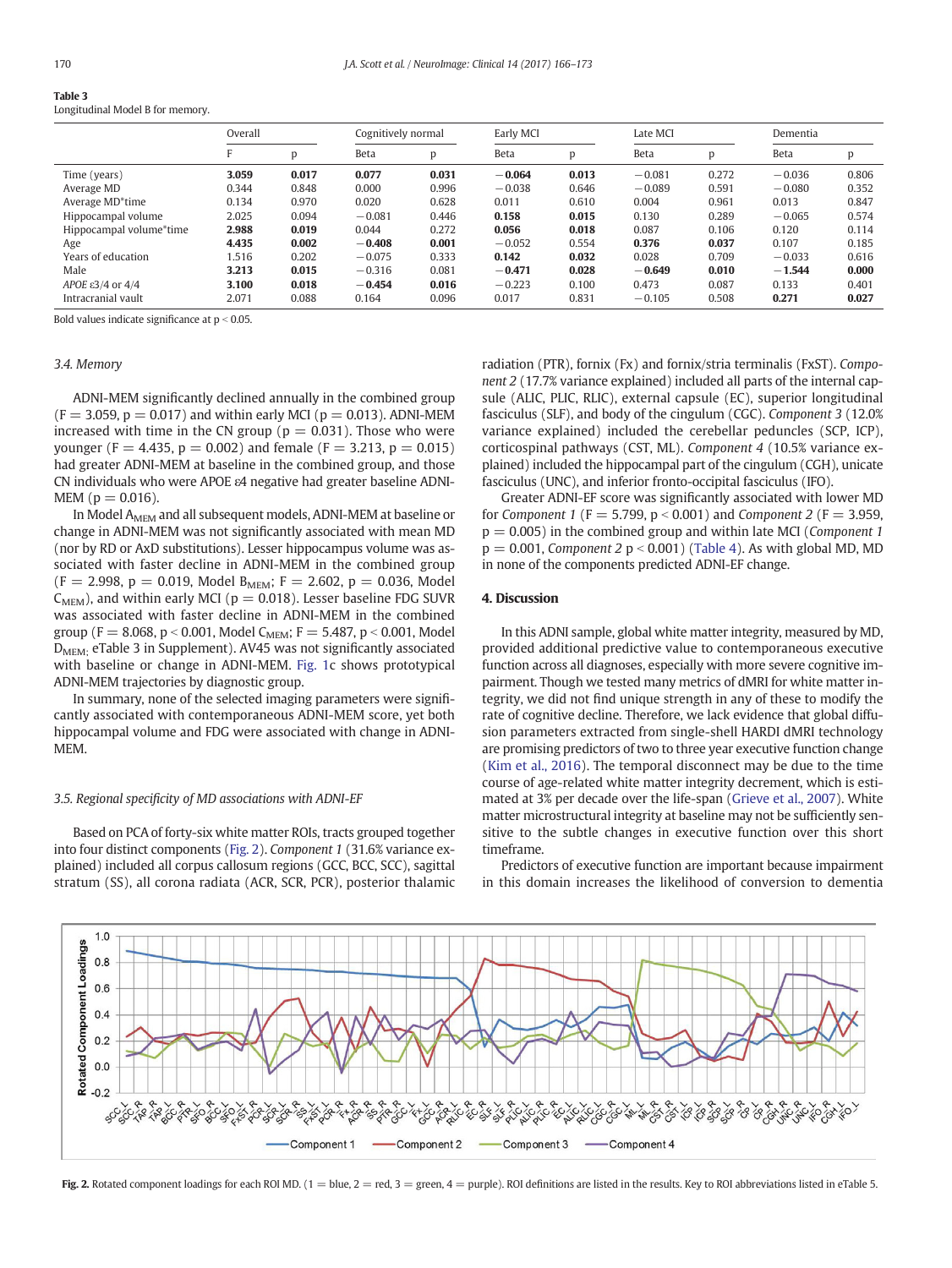#### Table 3 Longitudinal Model B for memory.

|                               | Overall |       | Cognitively normal |       | Early MCI |       | Late MCI |       | Dementia |       |
|-------------------------------|---------|-------|--------------------|-------|-----------|-------|----------|-------|----------|-------|
|                               |         | D     | Beta               | p     | Beta      | D     | Beta     | D     | Beta     | p     |
| Time (years)                  | 3.059   | 0.017 | 0.077              | 0.031 | $-0.064$  | 0.013 | $-0.081$ | 0.272 | $-0.036$ | 0.806 |
| Average MD                    | 0.344   | 0.848 | 0.000              | 0.996 | $-0.038$  | 0.646 | $-0.089$ | 0.591 | $-0.080$ | 0.352 |
| Average MD*time               | 0.134   | 0.970 | 0.020              | 0.628 | 0.011     | 0.610 | 0.004    | 0.961 | 0.013    | 0.847 |
| Hippocampal volume            | 2.025   | 0.094 | $-0.081$           | 0.446 | 0.158     | 0.015 | 0.130    | 0.289 | $-0.065$ | 0.574 |
| Hippocampal volume*time       | 2.988   | 0.019 | 0.044              | 0.272 | 0.056     | 0.018 | 0.087    | 0.106 | 0.120    | 0.114 |
| Age                           | 4.435   | 0.002 | $-0.408$           | 0.001 | $-0.052$  | 0.554 | 0.376    | 0.037 | 0.107    | 0.185 |
| Years of education            | 1.516   | 0.202 | $-0.075$           | 0.333 | 0.142     | 0.032 | 0.028    | 0.709 | $-0.033$ | 0.616 |
| Male                          | 3.213   | 0.015 | $-0.316$           | 0.081 | $-0.471$  | 0.028 | $-0.649$ | 0.010 | $-1.544$ | 0.000 |
| APOE $\varepsilon$ 3/4 or 4/4 | 3.100   | 0.018 | $-0.454$           | 0.016 | $-0.223$  | 0.100 | 0.473    | 0.087 | 0.133    | 0.401 |
| Intracranial vault            | 2.071   | 0.088 | 0.164              | 0.096 | 0.017     | 0.831 | $-0.105$ | 0.508 | 0.271    | 0.027 |

Bold values indicate significance at  $p < 0.05$ .

#### 3.4. Memory

ADNI-MEM significantly declined annually in the combined group  $(F = 3.059, p = 0.017)$  and within early MCI ( $p = 0.013$ ). ADNI-MEM increased with time in the CN group ( $p = 0.031$ ). Those who were younger (F = 4.435, p = 0.002) and female (F = 3.213, p = 0.015) had greater ADNI-MEM at baseline in the combined group, and those CN individuals who were APOE ɛ4 negative had greater baseline ADNI- $MEM (p = 0.016).$ 

In Model AMEM and all subsequent models, ADNI-MEM at baseline or change in ADNI-MEM was not significantly associated with mean MD (nor by RD or AxD substitutions). Lesser hippocampus volume was associated with faster decline in ADNI-MEM in the combined group  $(F = 2.998, p = 0.019,$  Model B<sub>MEM</sub>;  $F = 2.602, p = 0.036,$  Model  $C_{MFM}$ ), and within early MCI ( $p = 0.018$ ). Lesser baseline FDG SUVR was associated with faster decline in ADNI-MEM in the combined group (F = 8.068, p < 0.001, Model C<sub>MEM</sub>; F = 5.487, p < 0.001, Model D<sub>MEM;</sub> eTable 3 in Supplement). AV45 was not significantly associated with baseline or change in ADNI-MEM. [Fig. 1](#page-3-0)c shows prototypical ADNI-MEM trajectories by diagnostic group.

In summary, none of the selected imaging parameters were significantly associated with contemporaneous ADNI-MEM score, yet both hippocampal volume and FDG were associated with change in ADNI-MEM.

### 3.5. Regional specificity of MD associations with ADNI-EF

Based on PCA of forty-six white matter ROIs, tracts grouped together into four distinct components (Fig. 2). Component 1 (31.6% variance explained) included all corpus callosum regions (GCC, BCC, SCC), sagittal stratum (SS), all corona radiata (ACR, SCR, PCR), posterior thalamic radiation (PTR), fornix (Fx) and fornix/stria terminalis (FxST). Component 2 (17.7% variance explained) included all parts of the internal capsule (ALIC, PLIC, RLIC), external capsule (EC), superior longitudinal fasciculus (SLF), and body of the cingulum (CGC). Component 3 (12.0% variance explained) included the cerebellar peduncles (SCP, ICP), corticospinal pathways (CST, ML). Component 4 (10.5% variance explained) included the hippocampal part of the cingulum (CGH), unicate fasciculus (UNC), and inferior fronto-occipital fasciculus (IFO).

Greater ADNI-EF score was significantly associated with lower MD for Component 1 (F = 5.799, p < 0.001) and Component 2 (F = 3.959,  $p = 0.005$ ) in the combined group and within late MCI (Component 1  $p = 0.001$ , Component 2  $p < 0.001$ ) ([Table 4\)](#page-5-0). As with global MD, MD in none of the components predicted ADNI-EF change.

#### 4. Discussion

In this ADNI sample, global white matter integrity, measured by MD, provided additional predictive value to contemporaneous executive function across all diagnoses, especially with more severe cognitive impairment. Though we tested many metrics of dMRI for white matter integrity, we did not find unique strength in any of these to modify the rate of cognitive decline. Therefore, we lack evidence that global diffusion parameters extracted from single-shell HARDI dMRI technology are promising predictors of two to three year executive function change [\(Kim et al., 2016\)](#page-6-0). The temporal disconnect may be due to the time course of age-related white matter integrity decrement, which is estimated at 3% per decade over the life-span [\(Grieve et al., 2007](#page-6-0)). White matter microstructural integrity at baseline may not be sufficiently sensitive to the subtle changes in executive function over this short timeframe.

Predictors of executive function are important because impairment in this domain increases the likelihood of conversion to dementia



Fig. 2. Rotated component loadings for each ROI MD.  $(1 = blue, 2 = red, 3 = green, 4 = purple)$ . ROI definitions are listed in the results. Key to ROI abbreviations listed in eTable 5.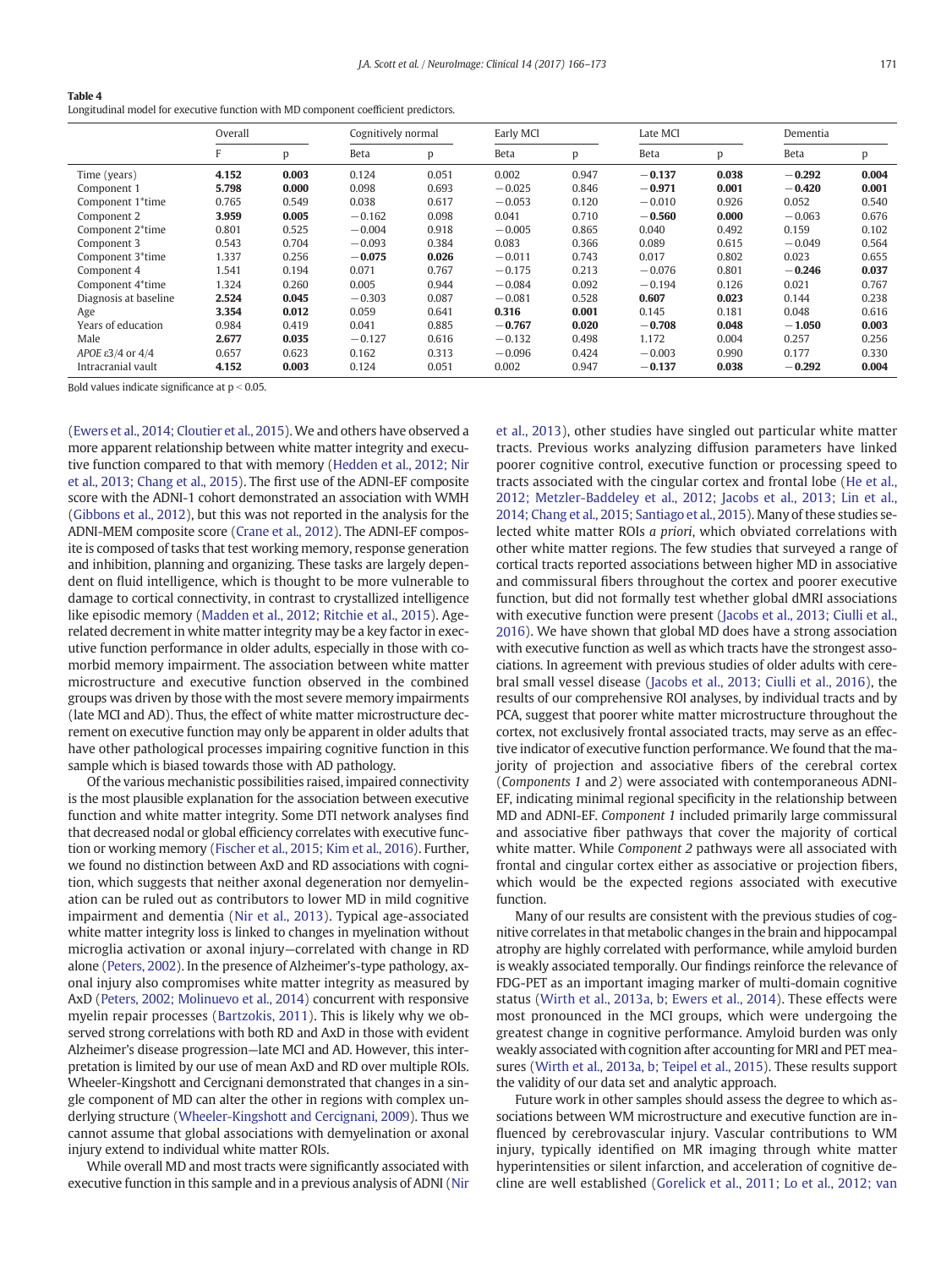<span id="page-5-0"></span>

|--|--|

Longitudinal model for executive function with MD component coefficient predictors.

|                               | Overall |       |          | Cognitively normal |          | Early MCI |          | Late MCI |          | Dementia |  |
|-------------------------------|---------|-------|----------|--------------------|----------|-----------|----------|----------|----------|----------|--|
|                               |         | p     | Beta     | p                  | Beta     | p         | Beta     | p        | Beta     | p        |  |
| Time (years)                  | 4.152   | 0.003 | 0.124    | 0.051              | 0.002    | 0.947     | $-0.137$ | 0.038    | $-0.292$ | 0.004    |  |
| Component 1                   | 5.798   | 0.000 | 0.098    | 0.693              | $-0.025$ | 0.846     | $-0.971$ | 0.001    | $-0.420$ | 0.001    |  |
| Component 1*time              | 0.765   | 0.549 | 0.038    | 0.617              | $-0.053$ | 0.120     | $-0.010$ | 0.926    | 0.052    | 0.540    |  |
| Component 2                   | 3.959   | 0.005 | $-0.162$ | 0.098              | 0.041    | 0.710     | $-0.560$ | 0.000    | $-0.063$ | 0.676    |  |
| Component 2*time              | 0.801   | 0.525 | $-0.004$ | 0.918              | $-0.005$ | 0.865     | 0.040    | 0.492    | 0.159    | 0.102    |  |
| Component 3                   | 0.543   | 0.704 | $-0.093$ | 0.384              | 0.083    | 0.366     | 0.089    | 0.615    | $-0.049$ | 0.564    |  |
| Component 3*time              | 1.337   | 0.256 | $-0.075$ | 0.026              | $-0.011$ | 0.743     | 0.017    | 0.802    | 0.023    | 0.655    |  |
| Component 4                   | 1.541   | 0.194 | 0.071    | 0.767              | $-0.175$ | 0.213     | $-0.076$ | 0.801    | $-0.246$ | 0.037    |  |
| Component 4*time              | 1.324   | 0.260 | 0.005    | 0.944              | $-0.084$ | 0.092     | $-0.194$ | 0.126    | 0.021    | 0.767    |  |
| Diagnosis at baseline         | 2.524   | 0.045 | $-0.303$ | 0.087              | $-0.081$ | 0.528     | 0.607    | 0.023    | 0.144    | 0.238    |  |
| Age                           | 3.354   | 0.012 | 0.059    | 0.641              | 0.316    | 0.001     | 0.145    | 0.181    | 0.048    | 0.616    |  |
| Years of education            | 0.984   | 0.419 | 0.041    | 0.885              | $-0.767$ | 0.020     | $-0.708$ | 0.048    | $-1.050$ | 0.003    |  |
| Male                          | 2.677   | 0.035 | $-0.127$ | 0.616              | $-0.132$ | 0.498     | 1.172    | 0.004    | 0.257    | 0.256    |  |
| APOE $\varepsilon$ 3/4 or 4/4 | 0.657   | 0.623 | 0.162    | 0.313              | $-0.096$ | 0.424     | $-0.003$ | 0.990    | 0.177    | 0.330    |  |
| Intracranial vault            | 4.152   | 0.003 | 0.124    | 0.051              | 0.002    | 0.947     | $-0.137$ | 0.038    | $-0.292$ | 0.004    |  |

Bold values indicate significance at  $p < 0.05$ .

[\(Ewers et al., 2014; Cloutier et al., 2015\)](#page-6-0).We and others have observed a more apparent relationship between white matter integrity and executive function compared to that with memory [\(Hedden et al., 2012; Nir](#page-6-0) [et al., 2013; Chang et al., 2015\)](#page-6-0). The first use of the ADNI-EF composite score with the ADNI-1 cohort demonstrated an association with WMH [\(Gibbons et al., 2012](#page-6-0)), but this was not reported in the analysis for the ADNI-MEM composite score ([Crane et al., 2012\)](#page-6-0). The ADNI-EF composite is composed of tasks that test working memory, response generation and inhibition, planning and organizing. These tasks are largely dependent on fluid intelligence, which is thought to be more vulnerable to damage to cortical connectivity, in contrast to crystallized intelligence like episodic memory [\(Madden et al., 2012; Ritchie et al., 2015](#page-7-0)). Agerelated decrement in white matter integrity may be a key factor in executive function performance in older adults, especially in those with comorbid memory impairment. The association between white matter microstructure and executive function observed in the combined groups was driven by those with the most severe memory impairments (late MCI and AD). Thus, the effect of white matter microstructure decrement on executive function may only be apparent in older adults that have other pathological processes impairing cognitive function in this sample which is biased towards those with AD pathology.

Of the various mechanistic possibilities raised, impaired connectivity is the most plausible explanation for the association between executive function and white matter integrity. Some DTI network analyses find that decreased nodal or global efficiency correlates with executive function or working memory ([Fischer et al., 2015; Kim et al., 2016](#page-6-0)). Further, we found no distinction between AxD and RD associations with cognition, which suggests that neither axonal degeneration nor demyelination can be ruled out as contributors to lower MD in mild cognitive impairment and dementia ([Nir et al., 2013](#page-7-0)). Typical age-associated white matter integrity loss is linked to changes in myelination without microglia activation or axonal injury—correlated with change in RD alone [\(Peters, 2002](#page-7-0)). In the presence of Alzheimer's-type pathology, axonal injury also compromises white matter integrity as measured by AxD [\(Peters, 2002; Molinuevo et al., 2014](#page-7-0)) concurrent with responsive myelin repair processes [\(Bartzokis, 2011\)](#page-6-0). This is likely why we observed strong correlations with both RD and AxD in those with evident Alzheimer's disease progression—late MCI and AD. However, this interpretation is limited by our use of mean AxD and RD over multiple ROIs. Wheeler-Kingshott and Cercignani demonstrated that changes in a single component of MD can alter the other in regions with complex underlying structure ([Wheeler-Kingshott and Cercignani, 2009](#page-7-0)). Thus we cannot assume that global associations with demyelination or axonal injury extend to individual white matter ROIs.

While overall MD and most tracts were significantly associated with executive function in this sample and in a previous analysis of ADNI [\(Nir](#page-7-0) [et al., 2013](#page-7-0)), other studies have singled out particular white matter tracts. Previous works analyzing diffusion parameters have linked poorer cognitive control, executive function or processing speed to tracts associated with the cingular cortex and frontal lobe ([He et al.,](#page-6-0) [2012; Metzler-Baddeley et al., 2012; Jacobs et al., 2013; Lin et al.,](#page-6-0) [2014; Chang et al., 2015; Santiago et al., 2015](#page-6-0)). Many of these studies selected white matter ROIs a priori, which obviated correlations with other white matter regions. The few studies that surveyed a range of cortical tracts reported associations between higher MD in associative and commissural fibers throughout the cortex and poorer executive function, but did not formally test whether global dMRI associations with executive function were present [\(Jacobs et al., 2013; Ciulli et al.,](#page-6-0) [2016\)](#page-6-0). We have shown that global MD does have a strong association with executive function as well as which tracts have the strongest associations. In agreement with previous studies of older adults with cerebral small vessel disease [\(Jacobs et al., 2013; Ciulli et al., 2016\)](#page-6-0), the results of our comprehensive ROI analyses, by individual tracts and by PCA, suggest that poorer white matter microstructure throughout the cortex, not exclusively frontal associated tracts, may serve as an effective indicator of executive function performance. We found that the majority of projection and associative fibers of the cerebral cortex (Components 1 and 2) were associated with contemporaneous ADNI-EF, indicating minimal regional specificity in the relationship between MD and ADNI-EF. Component 1 included primarily large commissural and associative fiber pathways that cover the majority of cortical white matter. While Component 2 pathways were all associated with frontal and cingular cortex either as associative or projection fibers, which would be the expected regions associated with executive function.

Many of our results are consistent with the previous studies of cognitive correlates in that metabolic changes in the brain and hippocampal atrophy are highly correlated with performance, while amyloid burden is weakly associated temporally. Our findings reinforce the relevance of FDG-PET as an important imaging marker of multi-domain cognitive status [\(Wirth et al., 2013a, b; Ewers et al., 2014\)](#page-7-0). These effects were most pronounced in the MCI groups, which were undergoing the greatest change in cognitive performance. Amyloid burden was only weakly associated with cognition after accounting for MRI and PET measures ([Wirth et al., 2013a, b; Teipel et al., 2015](#page-7-0)). These results support the validity of our data set and analytic approach.

Future work in other samples should assess the degree to which associations between WM microstructure and executive function are influenced by cerebrovascular injury. Vascular contributions to WM injury, typically identified on MR imaging through white matter hyperintensities or silent infarction, and acceleration of cognitive decline are well established [\(Gorelick et al., 2011; Lo et al., 2012; van](#page-6-0)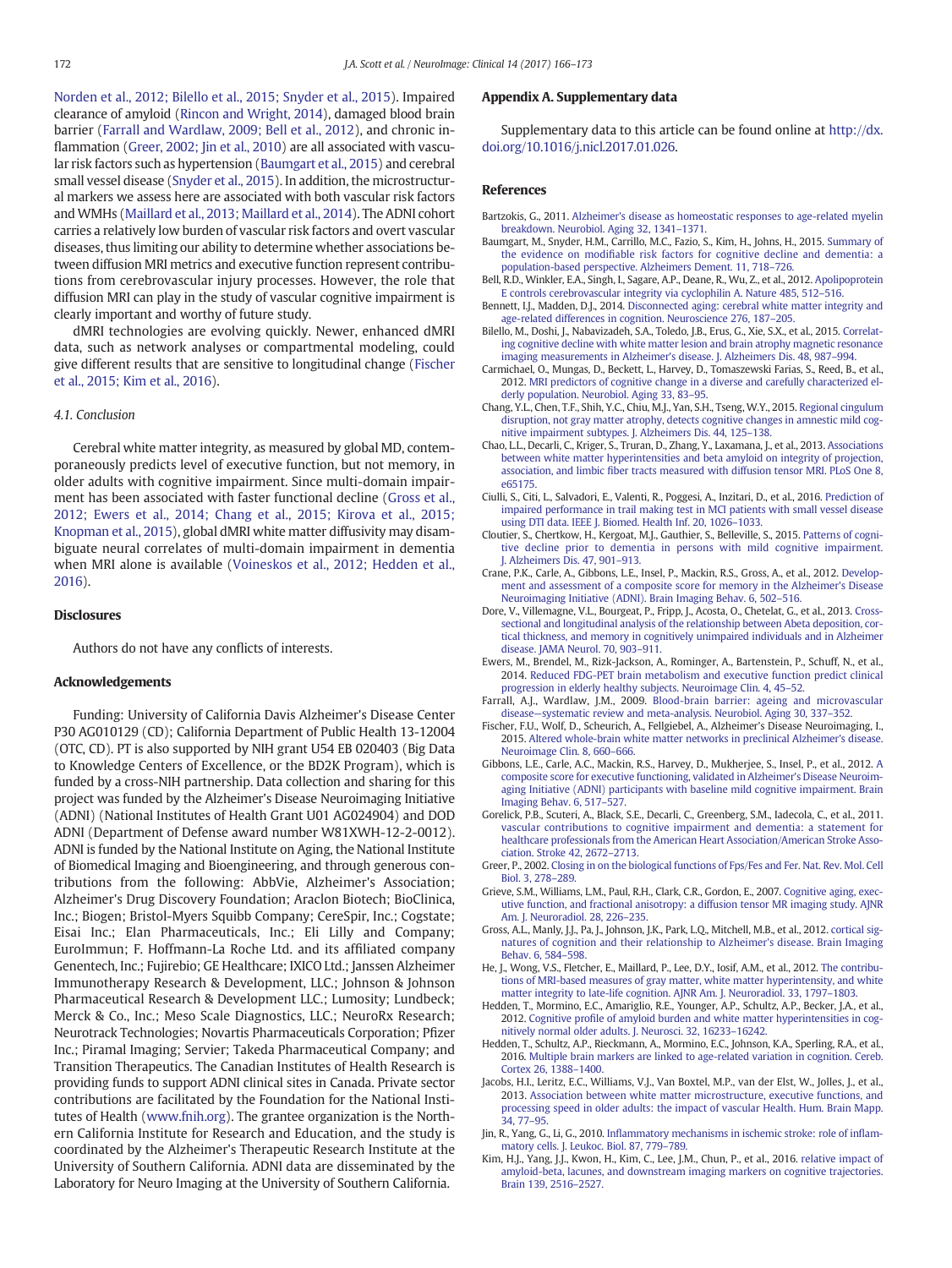<span id="page-6-0"></span>Norden et al., 2012; Bilello et al., 2015; Snyder et al., 2015). Impaired clearance of amyloid ([Rincon and Wright, 2014\)](#page-7-0), damaged blood brain barrier (Farrall and Wardlaw, 2009; Bell et al., 2012), and chronic inflammation (Greer, 2002; Jin et al., 2010) are all associated with vascular risk factors such as hypertension (Baumgart et al., 2015) and cerebral small vessel disease ([Snyder et al., 2015\)](#page-7-0). In addition, the microstructural markers we assess here are associated with both vascular risk factors and WMHs [\(Maillard et al., 2013; Maillard et al., 2014](#page-7-0)). The ADNI cohort carries a relatively low burden of vascular risk factors and overt vascular diseases, thus limiting our ability to determine whether associations between diffusion MRI metrics and executive function represent contributions from cerebrovascular injury processes. However, the role that diffusion MRI can play in the study of vascular cognitive impairment is clearly important and worthy of future study.

dMRI technologies are evolving quickly. Newer, enhanced dMRI data, such as network analyses or compartmental modeling, could give different results that are sensitive to longitudinal change (Fischer et al., 2015; Kim et al., 2016).

#### 4.1. Conclusion

Cerebral white matter integrity, as measured by global MD, contemporaneously predicts level of executive function, but not memory, in older adults with cognitive impairment. Since multi-domain impairment has been associated with faster functional decline (Gross et al., 2012; Ewers et al., 2014; Chang et al., 2015; Kirova et al., 2015; Knopman et al., 2015), global dMRI white matter diffusivity may disambiguate neural correlates of multi-domain impairment in dementia when MRI alone is available ([Voineskos et al., 2012; Hedden et al.,](#page-7-0) [2016\)](#page-7-0).

#### **Disclosures**

Authors do not have any conflicts of interests.

# Acknowledgements

Funding: University of California Davis Alzheimer's Disease Center P30 AG010129 (CD); California Department of Public Health 13-12004 (OTC, CD). PT is also supported by NIH grant U54 EB 020403 (Big Data to Knowledge Centers of Excellence, or the BD2K Program), which is funded by a cross-NIH partnership. Data collection and sharing for this project was funded by the Alzheimer's Disease Neuroimaging Initiative (ADNI) (National Institutes of Health Grant U01 AG024904) and DOD ADNI (Department of Defense award number W81XWH-12-2-0012). ADNI is funded by the National Institute on Aging, the National Institute of Biomedical Imaging and Bioengineering, and through generous contributions from the following: AbbVie, Alzheimer's Association; Alzheimer's Drug Discovery Foundation; Araclon Biotech; BioClinica, Inc.; Biogen; Bristol-Myers Squibb Company; CereSpir, Inc.; Cogstate; Eisai Inc.; Elan Pharmaceuticals, Inc.; Eli Lilly and Company; EuroImmun; F. Hoffmann-La Roche Ltd. and its affiliated company Genentech, Inc.; Fujirebio; GE Healthcare; IXICO Ltd.; Janssen Alzheimer Immunotherapy Research & Development, LLC.; Johnson & Johnson Pharmaceutical Research & Development LLC.; Lumosity; Lundbeck; Merck & Co., Inc.; Meso Scale Diagnostics, LLC.; NeuroRx Research; Neurotrack Technologies; Novartis Pharmaceuticals Corporation; Pfizer Inc.; Piramal Imaging; Servier; Takeda Pharmaceutical Company; and Transition Therapeutics. The Canadian Institutes of Health Research is providing funds to support ADNI clinical sites in Canada. Private sector contributions are facilitated by the Foundation for the National Institutes of Health ([www.fnih.org](http://www.fnih.org)). The grantee organization is the Northern California Institute for Research and Education, and the study is coordinated by the Alzheimer's Therapeutic Research Institute at the University of Southern California. ADNI data are disseminated by the Laboratory for Neuro Imaging at the University of Southern California.

#### Appendix A. Supplementary data

Supplementary data to this article can be found online at [http://dx.](http://dx.doi.org/10.1016/j.nicl.2017.01.026) [doi.org/10.1016/j.nicl.2017.01.026](http://dx.doi.org/10.1016/j.nicl.2017.01.026).

#### References

- Bartzokis, G., 2011. [Alzheimer's disease as homeostatic responses to age-related myelin](http://refhub.elsevier.com/S2213-1582(17)30027-X/rf0005) [breakdown. Neurobiol. Aging 32, 1341](http://refhub.elsevier.com/S2213-1582(17)30027-X/rf0005)–1371.
- Baumgart, M., Snyder, H.M., Carrillo, M.C., Fazio, S., Kim, H., Johns, H., 2015. [Summary of](http://refhub.elsevier.com/S2213-1582(17)30027-X/rf0010) the evidence on modifi[able risk factors for cognitive decline and dementia: a](http://refhub.elsevier.com/S2213-1582(17)30027-X/rf0010) [population-based perspective. Alzheimers Dement. 11, 718](http://refhub.elsevier.com/S2213-1582(17)30027-X/rf0010)–726.
- Bell, R.D., Winkler, E.A., Singh, I., Sagare, A.P., Deane, R., Wu, Z., et al., 2012. [Apolipoprotein](http://refhub.elsevier.com/S2213-1582(17)30027-X/rf0015) [E controls cerebrovascular integrity via cyclophilin A. Nature 485, 512](http://refhub.elsevier.com/S2213-1582(17)30027-X/rf0015)–516.
- Bennett, I.J., Madden, D.J., 2014. [Disconnected aging: cerebral white matter integrity and](http://refhub.elsevier.com/S2213-1582(17)30027-X/rf0020) [age-related differences in cognition. Neuroscience 276, 187](http://refhub.elsevier.com/S2213-1582(17)30027-X/rf0020)–205.
- Bilello, M., Doshi, J., Nabavizadeh, S.A., Toledo, J.B., Erus, G., Xie, S.X., et al., 2015. [Correlat](http://refhub.elsevier.com/S2213-1582(17)30027-X/rf0025)[ing cognitive decline with white matter lesion and brain atrophy magnetic resonance](http://refhub.elsevier.com/S2213-1582(17)30027-X/rf0025) [imaging measurements in Alzheimer's disease. J. Alzheimers Dis. 48, 987](http://refhub.elsevier.com/S2213-1582(17)30027-X/rf0025)–994.
- Carmichael, O., Mungas, D., Beckett, L., Harvey, D., Tomaszewski Farias, S., Reed, B., et al., 2012. [MRI predictors of cognitive change in a diverse and carefully characterized el](http://refhub.elsevier.com/S2213-1582(17)30027-X/rf0030)[derly population. Neurobiol. Aging 33, 83](http://refhub.elsevier.com/S2213-1582(17)30027-X/rf0030)–95.
- Chang, Y.L., Chen, T.F., Shih, Y.C., Chiu, M.J., Yan, S.H., Tseng, W.Y., 2015. [Regional cingulum](http://refhub.elsevier.com/S2213-1582(17)30027-X/rf0035) [disruption, not gray matter atrophy, detects cognitive changes in amnestic mild cog](http://refhub.elsevier.com/S2213-1582(17)30027-X/rf0035)[nitive impairment subtypes. J. Alzheimers Dis. 44, 125](http://refhub.elsevier.com/S2213-1582(17)30027-X/rf0035)–138.
- Chao, L.L., Decarli, C., Kriger, S., Truran, D., Zhang, Y., Laxamana, J., et al., 2013. [Associations](http://refhub.elsevier.com/S2213-1582(17)30027-X/rf0040) [between white matter hyperintensities and beta amyloid on integrity of projection,](http://refhub.elsevier.com/S2213-1582(17)30027-X/rf0040) association, and limbic fi[ber tracts measured with diffusion tensor MRI. PLoS One 8,](http://refhub.elsevier.com/S2213-1582(17)30027-X/rf0040) [e65175.](http://refhub.elsevier.com/S2213-1582(17)30027-X/rf0040)
- Ciulli, S., Citi, L., Salvadori, E., Valenti, R., Poggesi, A., Inzitari, D., et al., 2016. [Prediction of](http://refhub.elsevier.com/S2213-1582(17)30027-X/rf0045) [impaired performance in trail making test in MCI patients with small vessel disease](http://refhub.elsevier.com/S2213-1582(17)30027-X/rf0045) [using DTI data. IEEE J. Biomed. Health Inf. 20, 1026](http://refhub.elsevier.com/S2213-1582(17)30027-X/rf0045)–1033.
- Cloutier, S., Chertkow, H., Kergoat, M.J., Gauthier, S., Belleville, S., 2015. [Patterns of cogni](http://refhub.elsevier.com/S2213-1582(17)30027-X/rf0050)[tive decline prior to dementia in persons with mild cognitive impairment.](http://refhub.elsevier.com/S2213-1582(17)30027-X/rf0050) [J. Alzheimers Dis. 47, 901](http://refhub.elsevier.com/S2213-1582(17)30027-X/rf0050)–913.
- Crane, P.K., Carle, A., Gibbons, L.E., Insel, P., Mackin, R.S., Gross, A., et al., 2012. [Develop](http://refhub.elsevier.com/S2213-1582(17)30027-X/rf0055)[ment and assessment of a composite score for memory in the Alzheimer's Disease](http://refhub.elsevier.com/S2213-1582(17)30027-X/rf0055) [Neuroimaging Initiative \(ADNI\). Brain Imaging Behav. 6, 502](http://refhub.elsevier.com/S2213-1582(17)30027-X/rf0055)–516.
- Dore, V., Villemagne, V.L., Bourgeat, P., Fripp, J., Acosta, O., Chetelat, G., et al., 2013. [Cross](http://refhub.elsevier.com/S2213-1582(17)30027-X/rf0060)[sectional and longitudinal analysis of the relationship between Abeta deposition, cor](http://refhub.elsevier.com/S2213-1582(17)30027-X/rf0060)[tical thickness, and memory in cognitively unimpaired individuals and in Alzheimer](http://refhub.elsevier.com/S2213-1582(17)30027-X/rf0060) [disease. JAMA Neurol. 70, 903](http://refhub.elsevier.com/S2213-1582(17)30027-X/rf0060)–911.
- Ewers, M., Brendel, M., Rizk-Jackson, A., Rominger, A., Bartenstein, P., Schuff, N., et al., 2014. [Reduced FDG-PET brain metabolism and executive function predict clinical](http://refhub.elsevier.com/S2213-1582(17)30027-X/rf0065) [progression in elderly healthy subjects. Neuroimage Clin. 4, 45](http://refhub.elsevier.com/S2213-1582(17)30027-X/rf0065)–52.
- Farrall, A.J., Wardlaw, J.M., 2009. [Blood-brain barrier: ageing and microvascular](http://refhub.elsevier.com/S2213-1582(17)30027-X/rf0070) disease—[systematic review and meta-analysis. Neurobiol. Aging 30, 337](http://refhub.elsevier.com/S2213-1582(17)30027-X/rf0070)–352.
- Fischer, F.U., Wolf, D., Scheurich, A., Fellgiebel, A., Alzheimer's Disease Neuroimaging, I., 2015. [Altered whole-brain white matter networks in preclinical Alzheimer's disease.](http://refhub.elsevier.com/S2213-1582(17)30027-X/rf0075) [Neuroimage Clin. 8, 660](http://refhub.elsevier.com/S2213-1582(17)30027-X/rf0075)–666.
- Gibbons, L.E., Carle, A.C., Mackin, R.S., Harvey, D., Mukherjee, S., Insel, P., et al., 2012. [A](http://refhub.elsevier.com/S2213-1582(17)30027-X/rf0080) [composite score for executive functioning, validated in Alzheimer's Disease Neuroim](http://refhub.elsevier.com/S2213-1582(17)30027-X/rf0080)[aging Initiative \(ADNI\) participants with baseline mild cognitive impairment. Brain](http://refhub.elsevier.com/S2213-1582(17)30027-X/rf0080) [Imaging Behav. 6, 517](http://refhub.elsevier.com/S2213-1582(17)30027-X/rf0080)–527.
- Gorelick, P.B., Scuteri, A., Black, S.E., Decarli, C., Greenberg, S.M., Iadecola, C., et al., 2011. [vascular contributions to cognitive impairment and dementia: a statement for](http://refhub.elsevier.com/S2213-1582(17)30027-X/rf0085) [healthcare professionals from the American Heart Association/American Stroke Asso](http://refhub.elsevier.com/S2213-1582(17)30027-X/rf0085)[ciation. Stroke 42, 2672](http://refhub.elsevier.com/S2213-1582(17)30027-X/rf0085)–2713.
- Greer, P., 2002. [Closing in on the biological functions of Fps/Fes and Fer. Nat. Rev. Mol. Cell](http://refhub.elsevier.com/S2213-1582(17)30027-X/rf0090) [Biol. 3, 278](http://refhub.elsevier.com/S2213-1582(17)30027-X/rf0090)–289.
- Grieve, S.M., Williams, L.M., Paul, R.H., Clark, C.R., Gordon, E., 2007. [Cognitive aging, exec](http://refhub.elsevier.com/S2213-1582(17)30027-X/rf0095)[utive function, and fractional anisotropy: a diffusion tensor MR imaging study. AJNR](http://refhub.elsevier.com/S2213-1582(17)30027-X/rf0095) [Am. J. Neuroradiol. 28, 226](http://refhub.elsevier.com/S2213-1582(17)30027-X/rf0095)–235.
- Gross, A.L., Manly, J.J., Pa, J., Johnson, J.K., Park, L.Q., Mitchell, M.B., et al., 2012. [cortical sig](http://refhub.elsevier.com/S2213-1582(17)30027-X/rf0100)[natures of cognition and their relationship to Alzheimer's disease. Brain Imaging](http://refhub.elsevier.com/S2213-1582(17)30027-X/rf0100) [Behav. 6, 584](http://refhub.elsevier.com/S2213-1582(17)30027-X/rf0100)–598.
- He, J., Wong, V.S., Fletcher, E., Maillard, P., Lee, D.Y., Iosif, A.M., et al., 2012. [The contribu](http://refhub.elsevier.com/S2213-1582(17)30027-X/rf0105)[tions of MRI-based measures of gray matter, white matter hyperintensity, and white](http://refhub.elsevier.com/S2213-1582(17)30027-X/rf0105) [matter integrity to late-life cognition. AJNR Am. J. Neuroradiol. 33, 1797](http://refhub.elsevier.com/S2213-1582(17)30027-X/rf0105)–1803.
- Hedden, T., Mormino, E.C., Amariglio, R.E., Younger, A.P., Schultz, A.P., Becker, J.A., et al., 2012. Cognitive profi[le of amyloid burden and white matter hyperintensities in cog](http://refhub.elsevier.com/S2213-1582(17)30027-X/rf0110)[nitively normal older adults. J. Neurosci. 32, 16233](http://refhub.elsevier.com/S2213-1582(17)30027-X/rf0110)–16242.
- Hedden, T., Schultz, A.P., Rieckmann, A., Mormino, E.C., Johnson, K.A., Sperling, R.A., et al., 2016. [Multiple brain markers are linked to age-related variation in cognition. Cereb.](http://refhub.elsevier.com/S2213-1582(17)30027-X/rf0115) [Cortex 26, 1388](http://refhub.elsevier.com/S2213-1582(17)30027-X/rf0115)–1400.
- Jacobs, H.I., Leritz, E.C., Williams, V.J., Van Boxtel, M.P., van der Elst, W., Jolles, J., et al., 2013. [Association between white matter microstructure, executive functions, and](http://refhub.elsevier.com/S2213-1582(17)30027-X/rf0120) [processing speed in older adults: the impact of vascular Health. Hum. Brain Mapp.](http://refhub.elsevier.com/S2213-1582(17)30027-X/rf0120) [34, 77](http://refhub.elsevier.com/S2213-1582(17)30027-X/rf0120)–95.
- Jin, R., Yang, G., Li, G., 2010. Infl[ammatory mechanisms in ischemic stroke: role of in](http://refhub.elsevier.com/S2213-1582(17)30027-X/rf0125)flam[matory cells. J. Leukoc. Biol. 87, 779](http://refhub.elsevier.com/S2213-1582(17)30027-X/rf0125)–789.
- Kim, H.J., Yang, J.J., Kwon, H., Kim, C., Lee, J.M., Chun, P., et al., 2016. [relative impact of](http://refhub.elsevier.com/S2213-1582(17)30027-X/rf0130) [amyloid-beta, lacunes, and downstream imaging markers on cognitive trajectories.](http://refhub.elsevier.com/S2213-1582(17)30027-X/rf0130) [Brain 139, 2516](http://refhub.elsevier.com/S2213-1582(17)30027-X/rf0130)–2527.